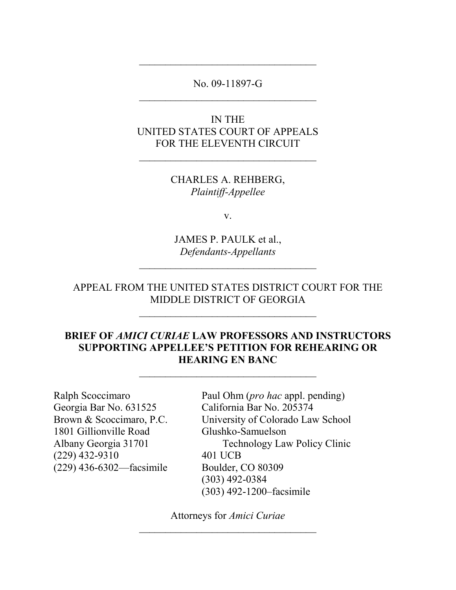### No. 09-11897-G  $\mathcal{L}_\text{max}$

\_\_\_\_\_\_\_\_\_\_\_\_\_\_\_\_\_\_\_\_\_\_\_\_\_\_\_\_\_\_\_\_\_\_

# IN THE UNITED STATES COURT OF APPEALS FOR THE ELEVENTH CIRCUIT

CHARLES A. REHBERG, *Plaintiff-Appellee*

v.

JAMES P. PAULK et al., *Defendants-Appellants*

\_\_\_\_\_\_\_\_\_\_\_\_\_\_\_\_\_\_\_\_\_\_\_\_\_\_\_\_\_\_\_\_\_\_

### APPEAL FROM THE UNITED STATES DISTRICT COURT FOR THE MIDDLE DISTRICT OF GEORGIA

# **BRIEF OF** *AMICI CURIAE* **LAW PROFESSORS AND INSTRUCTORS SUPPORTING APPELLEE'S PETITION FOR REHEARING OR HEARING EN BANC**

\_\_\_\_\_\_\_\_\_\_\_\_\_\_\_\_\_\_\_\_\_\_\_\_\_\_\_\_\_\_\_\_\_\_

Ralph Scoccimaro Georgia Bar No. 631525 Brown & Scoccimaro, P.C. 1801 Gillionville Road Albany Georgia 31701 (229) 432-9310 (229) 436-6302—facsimile Paul Ohm (*pro hac* appl. pending) California Bar No. 205374 University of Colorado Law School Glushko-Samuelson Technology Law Policy Clinic 401 UCB Boulder, CO 80309 (303) 492-0384 (303) 492-1200–facsimile

Attorneys for *Amici Curiae* \_\_\_\_\_\_\_\_\_\_\_\_\_\_\_\_\_\_\_\_\_\_\_\_\_\_\_\_\_\_\_\_\_\_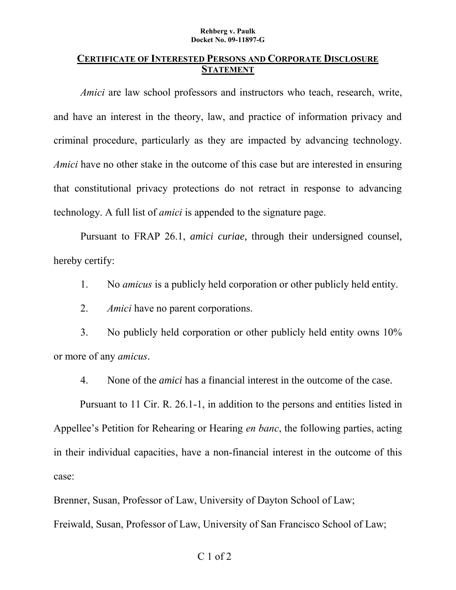#### **Rehberg v. Paulk Docket No. 09-11897-G**

#### **CERTIFICATE OF INTERESTED PERSONS AND CORPORATE DISCLOSURE STATEMENT**

*Amici* are law school professors and instructors who teach, research, write, and have an interest in the theory, law, and practice of information privacy and criminal procedure, particularly as they are impacted by advancing technology. *Amici* have no other stake in the outcome of this case but are interested in ensuring that constitutional privacy protections do not retract in response to advancing technology. A full list of *amici* is appended to the signature page.

Pursuant to FRAP 26.1, *amici curiae*, through their undersigned counsel, hereby certify:

1. No *amicus* is a publicly held corporation or other publicly held entity.

2. *Amici* have no parent corporations.

3. No publicly held corporation or other publicly held entity owns 10% or more of any *amicus*.

4. None of the *amici* has a financial interest in the outcome of the case.

Pursuant to 11 Cir. R. 26.1-1, in addition to the persons and entities listed in Appellee's Petition for Rehearing or Hearing *en banc*, the following parties, acting in their individual capacities, have a non-financial interest in the outcome of this case:

Brenner, Susan, Professor of Law, University of Dayton School of Law;

Freiwald, Susan, Professor of Law, University of San Francisco School of Law;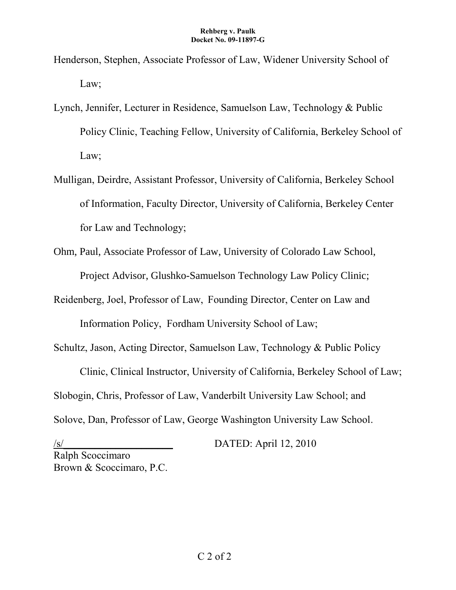- Henderson, Stephen, Associate Professor of Law, Widener University School of Law;
- Lynch, Jennifer, Lecturer in Residence, Samuelson Law, Technology & Public Policy Clinic, Teaching Fellow, University of California, Berkeley School of Law;
- Mulligan, Deirdre, Assistant Professor, University of California, Berkeley School of Information, Faculty Director, University of California, Berkeley Center for Law and Technology;
- Ohm, Paul, Associate Professor of Law, University of Colorado Law School, Project Advisor, Glushko-Samuelson Technology Law Policy Clinic;
- Reidenberg, Joel, Professor of Law, Founding Director, Center on Law and

Information Policy, Fordham University School of Law;

Schultz, Jason, Acting Director, Samuelson Law, Technology & Public Policy

Clinic, Clinical Instructor, University of California, Berkeley School of Law; Slobogin, Chris, Professor of Law, Vanderbilt University Law School; and Solove, Dan, Professor of Law, George Washington University Law School.

 $/s/$  DATED: April 12, 2010 Ralph Scoccimaro Brown & Scoccimaro, P.C.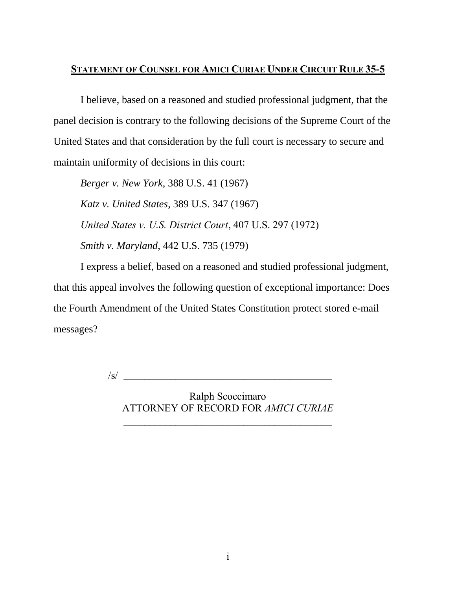# **STATEMENT OF COUNSEL FOR AMICI CURIAE UNDER CIRCUIT RULE 35-5**

I believe, based on a reasoned and studied professional judgment, that the panel decision is contrary to the following decisions of the Supreme Court of the United States and that consideration by the full court is necessary to secure and maintain uniformity of decisions in this court:

*Berger v. New York*, 388 U.S. 41 (1967) *Katz v. United States*, 389 U.S. 347 (1967) *United States v. U.S. District Court*, 407 U.S. 297 (1972) *Smith v. Maryland*, 442 U.S. 735 (1979)

I express a belief, based on a reasoned and studied professional judgment, that this appeal involves the following question of exceptional importance: Does the Fourth Amendment of the United States Constitution protect stored e-mail messages?

\_\_\_\_\_\_\_\_\_\_\_\_\_\_\_\_\_\_\_\_\_\_\_\_\_\_\_\_\_\_\_\_\_\_\_\_\_\_\_\_ /s/

Ralph Scoccimaro ATTORNEY OF RECORD FOR *AMICI CURIAE*

 $\mathcal{L}_\text{max}$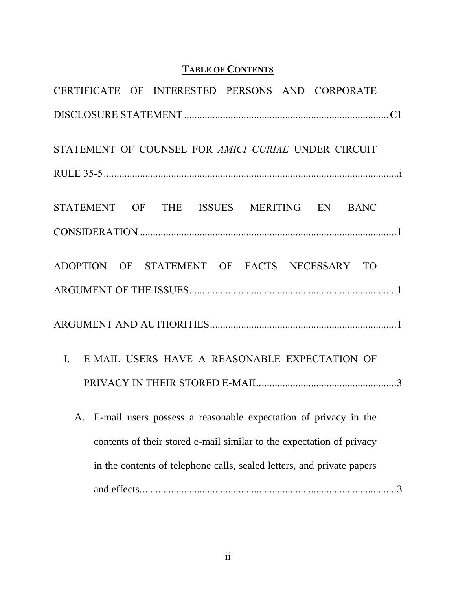# **TABLE OF CONTENTS**

| CERTIFICATE OF INTERESTED PERSONS AND CORPORATE                        |
|------------------------------------------------------------------------|
|                                                                        |
| STATEMENT OF COUNSEL FOR AMICI CURIAE UNDER CIRCUIT                    |
|                                                                        |
| STATEMENT OF THE ISSUES MERITING EN BANC                               |
|                                                                        |
| ADOPTION OF STATEMENT OF FACTS NECESSARY TO                            |
|                                                                        |
|                                                                        |
| I. E-MAIL USERS HAVE A REASONABLE EXPECTATION OF                       |
|                                                                        |
| A. E-mail users possess a reasonable expectation of privacy in the     |
| contents of their stored e-mail similar to the expectation of privacy  |
| in the contents of telephone calls, sealed letters, and private papers |
|                                                                        |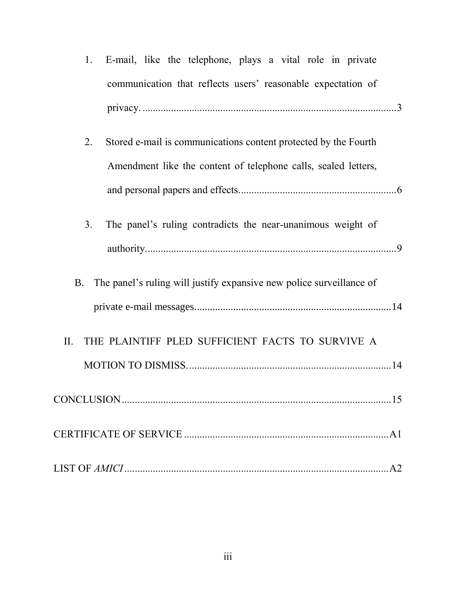| 1.             | E-mail, like the telephone, plays a vital role in private            |  |
|----------------|----------------------------------------------------------------------|--|
|                | communication that reflects users' reasonable expectation of         |  |
|                |                                                                      |  |
| 2.             | Stored e-mail is communications content protected by the Fourth      |  |
|                | Amendment like the content of telephone calls, sealed letters,       |  |
|                |                                                                      |  |
| 3 <sub>1</sub> | The panel's ruling contradicts the near-unanimous weight of          |  |
|                |                                                                      |  |
| <b>B.</b>      | The panel's ruling will justify expansive new police surveillance of |  |
|                |                                                                      |  |
| II.            | THE PLAINTIFF PLED SUFFICIENT FACTS TO SURVIVE A                     |  |
|                |                                                                      |  |
|                |                                                                      |  |
|                |                                                                      |  |
|                |                                                                      |  |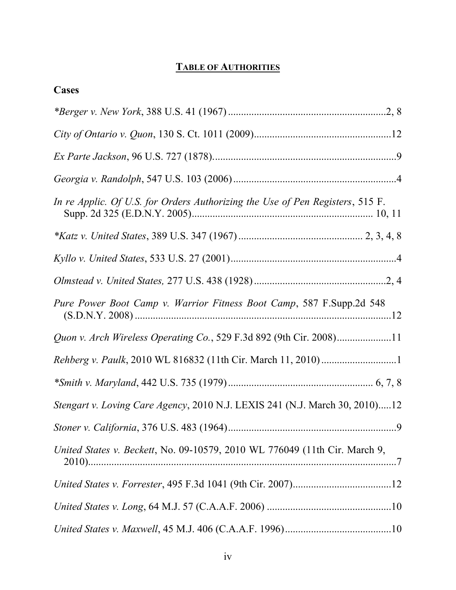# **TABLE OF AUTHORITIES**

| Cases                                                                         |
|-------------------------------------------------------------------------------|
|                                                                               |
|                                                                               |
|                                                                               |
|                                                                               |
| In re Applic. Of U.S. for Orders Authorizing the Use of Pen Registers, 515 F. |
|                                                                               |
|                                                                               |
|                                                                               |
| Pure Power Boot Camp v. Warrior Fitness Boot Camp, 587 F.Supp.2d 548          |
| Quon v. Arch Wireless Operating Co., 529 F.3d 892 (9th Cir. 2008)11           |
|                                                                               |
|                                                                               |
| Stengart v. Loving Care Agency, 2010 N.J. LEXIS 241 (N.J. March 30, 2010)12   |
|                                                                               |
| United States v. Beckett, No. 09-10579, 2010 WL 776049 (11th Cir. March 9,    |
|                                                                               |
|                                                                               |
|                                                                               |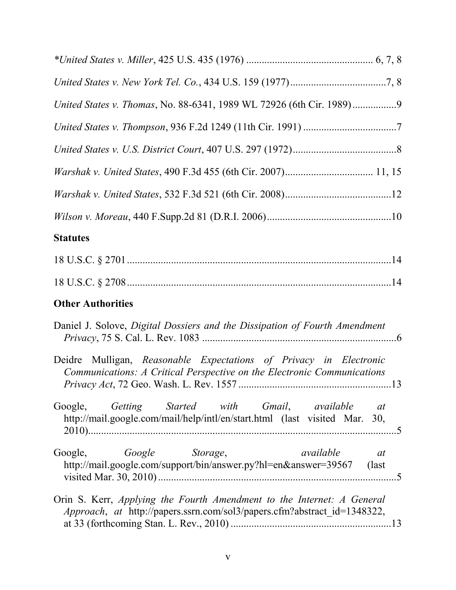| United States v. Thomas, No. 88-6341, 1989 WL 72926 (6th Cir. 1989)                                                                                |
|----------------------------------------------------------------------------------------------------------------------------------------------------|
|                                                                                                                                                    |
|                                                                                                                                                    |
|                                                                                                                                                    |
|                                                                                                                                                    |
|                                                                                                                                                    |
| <b>Statutes</b>                                                                                                                                    |
|                                                                                                                                                    |
|                                                                                                                                                    |
| <b>Other Authorities</b>                                                                                                                           |
| Daniel J. Solove, Digital Dossiers and the Dissipation of Fourth Amendment                                                                         |
| Deidre Mulligan, Reasonable Expectations of Privacy in Electronic<br>Communications: A Critical Perspective on the Electronic Communications       |
| Google, Getting Started with Gmail, available<br>at<br>http://mail.google.com/mail/help/intl/en/start.html (last visited Mar. 30,                  |
| Google Storage,<br>Google,<br>available<br>at<br>http://mail.google.com/support/bin/answer.py?hl=en&answer=39567 (last                             |
| Orin S. Kerr, Applying the Fourth Amendment to the Internet: A General<br>Approach, at http://papers.ssrn.com/sol3/papers.cfm?abstract id=1348322, |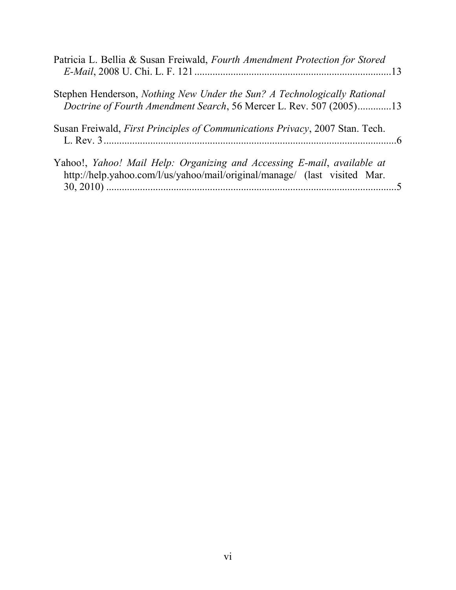| Patricia L. Bellia & Susan Freiwald, Fourth Amendment Protection for Stored                                                                          |  |
|------------------------------------------------------------------------------------------------------------------------------------------------------|--|
| Stephen Henderson, Nothing New Under the Sun? A Technologically Rational<br>Doctrine of Fourth Amendment Search, 56 Mercer L. Rev. 507 (2005)13      |  |
| Susan Freiwald, First Principles of Communications Privacy, 2007 Stan. Tech.                                                                         |  |
| Yahoo!, Yahoo! Mail Help: Organizing and Accessing E-mail, available at<br>http://help.yahoo.com/l/us/yahoo/mail/original/manage/ (last visited Mar. |  |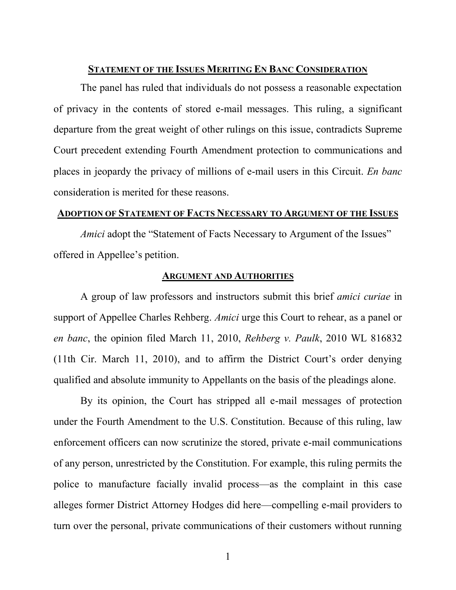#### **STATEMENT OF THE ISSUES MERITING EN BANC CONSIDERATION**

The panel has ruled that individuals do not possess a reasonable expectation of privacy in the contents of stored e-mail messages. This ruling, a significant departure from the great weight of other rulings on this issue, contradicts Supreme Court precedent extending Fourth Amendment protection to communications and places in jeopardy the privacy of millions of e-mail users in this Circuit. *En banc* consideration is merited for these reasons.

### **ADOPTION OF STATEMENT OF FACTS NECESSARY TO ARGUMENT OF THE ISSUES**

*Amici* adopt the "Statement of Facts Necessary to Argument of the Issues" offered in Appellee's petition.

#### **ARGUMENT AND AUTHORITIES**

A group of law professors and instructors submit this brief *amici curiae* in support of Appellee Charles Rehberg. *Amici* urge this Court to rehear, as a panel or *en banc*, the opinion filed March 11, 2010, *Rehberg v. Paulk*, 2010 WL 816832 (11th Cir. March 11, 2010), and to affirm the District Court's order denying qualified and absolute immunity to Appellants on the basis of the pleadings alone.

By its opinion, the Court has stripped all e-mail messages of protection under the Fourth Amendment to the U.S. Constitution. Because of this ruling, law enforcement officers can now scrutinize the stored, private e-mail communications of any person, unrestricted by the Constitution. For example, this ruling permits the police to manufacture facially invalid process—as the complaint in this case alleges former District Attorney Hodges did here—compelling e-mail providers to turn over the personal, private communications of their customers without running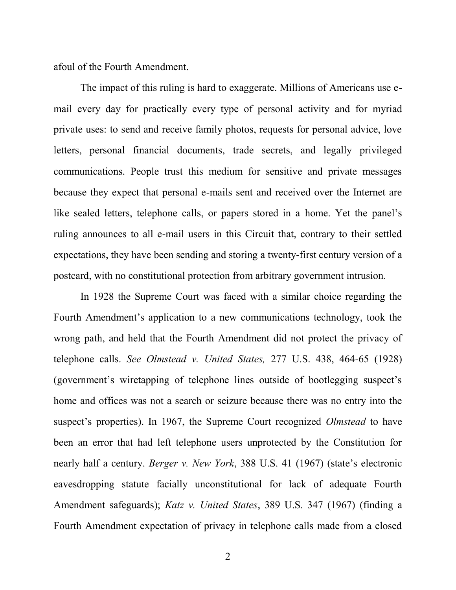afoul of the Fourth Amendment.

The impact of this ruling is hard to exaggerate. Millions of Americans use email every day for practically every type of personal activity and for myriad private uses: to send and receive family photos, requests for personal advice, love letters, personal financial documents, trade secrets, and legally privileged communications. People trust this medium for sensitive and private messages because they expect that personal e-mails sent and received over the Internet are like sealed letters, telephone calls, or papers stored in a home. Yet the panel's ruling announces to all e-mail users in this Circuit that, contrary to their settled expectations, they have been sending and storing a twenty-first century version of a postcard, with no constitutional protection from arbitrary government intrusion.

In 1928 the Supreme Court was faced with a similar choice regarding the Fourth Amendment's application to a new communications technology, took the wrong path, and held that the Fourth Amendment did not protect the privacy of telephone calls. *See Olmstead v. United States,* 277 U.S. 438, 464-65 (1928) (government's wiretapping of telephone lines outside of bootlegging suspect's home and offices was not a search or seizure because there was no entry into the suspect's properties). In 1967, the Supreme Court recognized *Olmstead* to have been an error that had left telephone users unprotected by the Constitution for nearly half a century. *Berger v. New York*, 388 U.S. 41 (1967) (state's electronic eavesdropping statute facially unconstitutional for lack of adequate Fourth Amendment safeguards); *Katz v. United States*, 389 U.S. 347 (1967) (finding a Fourth Amendment expectation of privacy in telephone calls made from a closed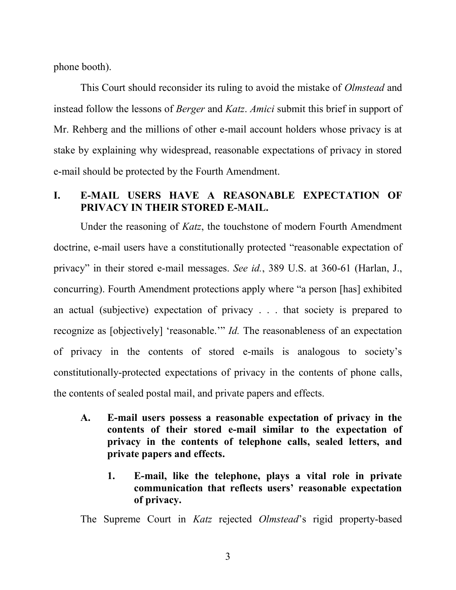phone booth).

This Court should reconsider its ruling to avoid the mistake of *Olmstead* and instead follow the lessons of *Berger* and *Katz*. *Amici* submit this brief in support of Mr. Rehberg and the millions of other e-mail account holders whose privacy is at stake by explaining why widespread, reasonable expectations of privacy in stored e-mail should be protected by the Fourth Amendment.

# **I. E-MAIL USERS HAVE A REASONABLE EXPECTATION OF PRIVACY IN THEIR STORED E-MAIL.**

Under the reasoning of *Katz*, the touchstone of modern Fourth Amendment doctrine, e-mail users have a constitutionally protected "reasonable expectation of privacy" in their stored e-mail messages. *See id.*, 389 U.S. at 360-61 (Harlan, J., concurring). Fourth Amendment protections apply where "a person [has] exhibited an actual (subjective) expectation of privacy . . . that society is prepared to recognize as [objectively] 'reasonable.'" *Id.* The reasonableness of an expectation of privacy in the contents of stored e-mails is analogous to society's constitutionally-protected expectations of privacy in the contents of phone calls, the contents of sealed postal mail, and private papers and effects.

- **A. E-mail users possess a reasonable expectation of privacy in the contents of their stored e-mail similar to the expectation of privacy in the contents of telephone calls, sealed letters, and private papers and effects.**
	- **1. E-mail, like the telephone, plays a vital role in private communication that reflects users' reasonable expectation of privacy.**

The Supreme Court in *Katz* rejected *Olmstead*'s rigid property-based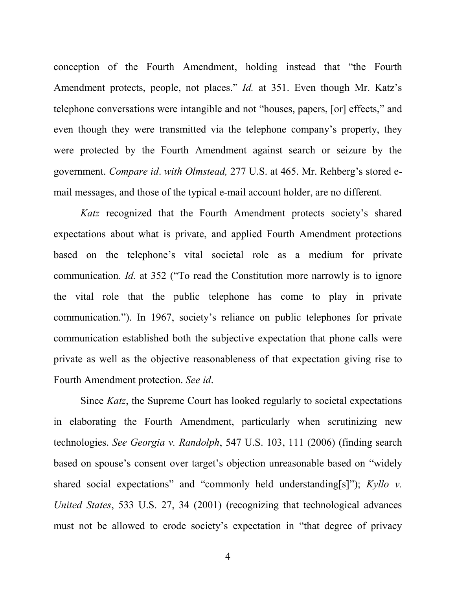conception of the Fourth Amendment, holding instead that "the Fourth" Amendment protects, people, not places." *Id.* at 351. Even though Mr. Katz's telephone conversations were intangible and not "houses, papers, [or] effects," and even though they were transmitted via the telephone company's property, they were protected by the Fourth Amendment against search or seizure by the government. *Compare id*. *with Olmstead,* 277 U.S. at 465. Mr. Rehberg's stored email messages, and those of the typical e-mail account holder, are no different.

*Katz* recognized that the Fourth Amendment protects society's shared expectations about what is private, and applied Fourth Amendment protections based on the telephone's vital societal role as a medium for private communication. *Id.* at 352 ("To read the Constitution more narrowly is to ignore the vital role that the public telephone has come to play in private communication."). In 1967, society's reliance on public telephones for private communication established both the subjective expectation that phone calls were private as well as the objective reasonableness of that expectation giving rise to Fourth Amendment protection. *See id*.

Since *Katz*, the Supreme Court has looked regularly to societal expectations in elaborating the Fourth Amendment, particularly when scrutinizing new technologies. *See Georgia v. Randolph*, 547 U.S. 103, 111 (2006) (finding search based on spouse's consent over target's objection unreasonable based on "widely" shared social expectations" and "commonly held understanding[s]"); *Kyllo v. United States*, 533 U.S. 27, 34 (2001) (recognizing that technological advances must not be allowed to erode society's expectation in "that degree of privacy"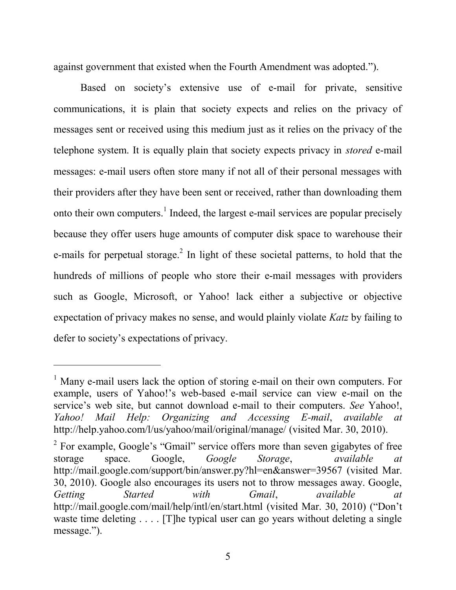against government that existed when the Fourth Amendment was adopted.").

Based on society's extensive use of e-mail for private, sensitive communications, it is plain that society expects and relies on the privacy of messages sent or received using this medium just as it relies on the privacy of the telephone system. It is equally plain that society expects privacy in *stored* e-mail messages: e-mail users often store many if not all of their personal messages with their providers after they have been sent or received, rather than downloading them onto their own computers.<sup>1</sup> Indeed, the largest e-mail services are popular precisely because they offer users huge amounts of computer disk space to warehouse their e-mails for perpetual storage.<sup>2</sup> In light of these societal patterns, to hold that the hundreds of millions of people who store their e-mail messages with providers such as Google, Microsoft, or Yahoo! lack either a subjective or objective expectation of privacy makes no sense, and would plainly violate *Katz* by failing to defer to society's expectations of privacy.

l

<sup>&</sup>lt;sup>1</sup> Many e-mail users lack the option of storing e-mail on their own computers. For example, users of Yahoo!'s web-based e-mail service can view e-mail on the service's web site, but cannot download e-mail to their computers. *See* Yahoo!, *Yahoo! Mail Help: Organizing and Accessing E-mail*, *available at*  http://help.yahoo.com/l/us/yahoo/mail/original/manage/ (visited Mar. 30, 2010).

<sup>&</sup>lt;sup>2</sup> For example, Google's "Gmail" service offers more than seven gigabytes of free storage space. Google, *Google Storage*, *available at*  http://mail.google.com/support/bin/answer.py?hl=en&answer=39567 (visited Mar. 30, 2010). Google also encourages its users not to throw messages away. Google, *Getting Started with Gmail*, *available at* http://mail.google.com/mail/help/intl/en/start.html (visited Mar. 30, 2010) ("Don't waste time deleting . . . . [T]he typical user can go years without deleting a single message.").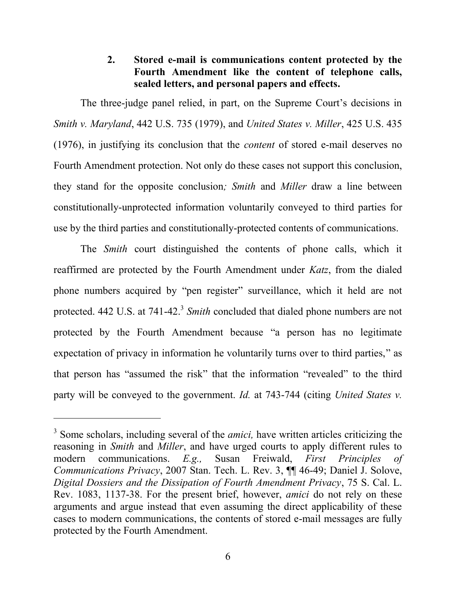# **2. Stored e-mail is communications content protected by the Fourth Amendment like the content of telephone calls, sealed letters, and personal papers and effects.**

The three-judge panel relied, in part, on the Supreme Court's decisions in *Smith v. Maryland*, 442 U.S. 735 (1979), and *United States v. Miller*, 425 U.S. 435 (1976), in justifying its conclusion that the *content* of stored e-mail deserves no Fourth Amendment protection. Not only do these cases not support this conclusion, they stand for the opposite conclusion*; Smith* and *Miller* draw a line between constitutionally-unprotected information voluntarily conveyed to third parties for use by the third parties and constitutionally-protected contents of communications.

The *Smith* court distinguished the contents of phone calls, which it reaffirmed are protected by the Fourth Amendment under *Katz*, from the dialed phone numbers acquired by "pen register" surveillance, which it held are not protected. 442 U.S. at 741-42.<sup>3</sup> Smith concluded that dialed phone numbers are not protected by the Fourth Amendment because "a person has no legitimate expectation of privacy in information he voluntarily turns over to third parties," as that person has "assumed the risk" that the information "revealed" to the third party will be conveyed to the government. *Id.* at 743-744 (citing *United States v.* 

l

<sup>&</sup>lt;sup>3</sup> Some scholars, including several of the *amici*, have written articles criticizing the reasoning in *Smith* and *Miller*, and have urged courts to apply different rules to modern communications. *E.g.,* Susan Freiwald, *First Principles of Communications Privacy*, 2007 Stan. Tech. L. Rev. 3, ¶¶ 46-49; Daniel J. Solove, *Digital Dossiers and the Dissipation of Fourth Amendment Privacy*, 75 S. Cal. L. Rev. 1083, 1137-38. For the present brief, however, *amici* do not rely on these arguments and argue instead that even assuming the direct applicability of these cases to modern communications, the contents of stored e-mail messages are fully protected by the Fourth Amendment.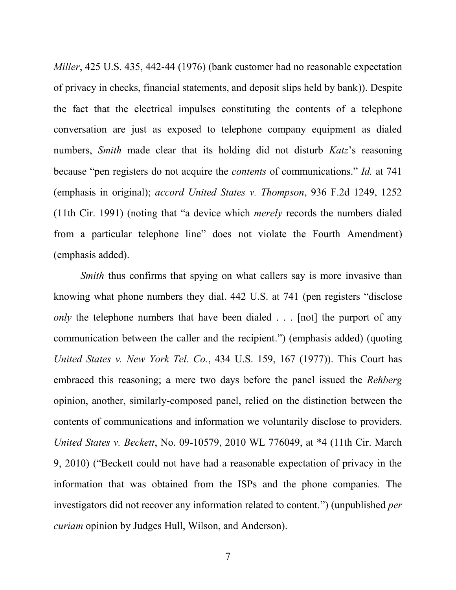*Miller*, 425 U.S. 435, 442-44 (1976) (bank customer had no reasonable expectation of privacy in checks, financial statements, and deposit slips held by bank)). Despite the fact that the electrical impulses constituting the contents of a telephone conversation are just as exposed to telephone company equipment as dialed numbers, *Smith* made clear that its holding did not disturb *Katz*'s reasoning because "pen registers do not acquire the *contents* of communications." *Id.* at 741 (emphasis in original); *accord United States v. Thompson*, 936 F.2d 1249, 1252 (11th Cir. 1991) (noting that "a device which *merely* records the numbers dialed from a particular telephone line" does not violate the Fourth Amendment) (emphasis added).

*Smith* thus confirms that spying on what callers say is more invasive than knowing what phone numbers they dial. 442 U.S. at 741 (pen registers "disclose" *only* the telephone numbers that have been dialed . . . [not] the purport of any communication between the caller and the recipient.") (emphasis added) (quoting *United States v. New York Tel. Co.*, 434 U.S. 159, 167 (1977)). This Court has embraced this reasoning; a mere two days before the panel issued the *Rehberg*  opinion, another, similarly-composed panel, relied on the distinction between the contents of communications and information we voluntarily disclose to providers. *United States v. Beckett*, No. 09-10579, 2010 WL 776049, at \*4 (11th Cir. March 9, 2010) ("Beckett could not have had a reasonable expectation of privacy in the information that was obtained from the ISPs and the phone companies. The investigators did not recover any information related to content.") (unpublished *per curiam* opinion by Judges Hull, Wilson, and Anderson).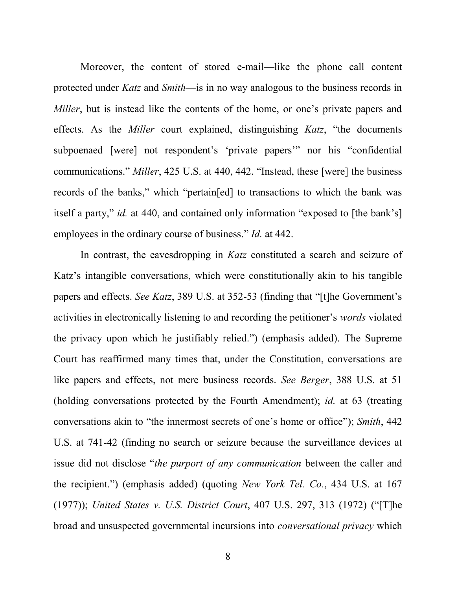Moreover, the content of stored e-mail—like the phone call content protected under *Katz* and *Smith*—is in no way analogous to the business records in *Miller*, but is instead like the contents of the home, or one's private papers and effects. As the *Miller* court explained, distinguishing *Katz*, "the documents subpoenaed [were] not respondent's 'private papers'" nor his "confidential communications." *Miller*, 425 U.S. at 440, 442. "Instead, these [were] the business records of the banks," which "pertain[ed] to transactions to which the bank was itself a party," *id.* at 440, and contained only information "exposed to [the bank's] employees in the ordinary course of business." *Id.* at 442.

In contrast, the eavesdropping in *Katz* constituted a search and seizure of Katz's intangible conversations, which were constitutionally akin to his tangible papers and effects. *See Katz*, 389 U.S. at 352-53 (finding that "[t]he Government's activities in electronically listening to and recording the petitioner's *words* violated the privacy upon which he justifiably relied.") (emphasis added). The Supreme Court has reaffirmed many times that, under the Constitution, conversations are like papers and effects, not mere business records. *See Berger*, 388 U.S. at 51 (holding conversations protected by the Fourth Amendment); *id.* at 63 (treating conversations akin to "the innermost secrets of one's home or office"); *Smith*, 442 U.S. at 741-42 (finding no search or seizure because the surveillance devices at issue did not disclose "*the purport of any communication* between the caller and the recipient.‖) (emphasis added) (quoting *New York Tel. Co.*, 434 U.S. at 167 (1977)); *United States v. U.S. District Court*, 407 U.S. 297, 313 (1972) ("[T]he broad and unsuspected governmental incursions into *conversational privacy* which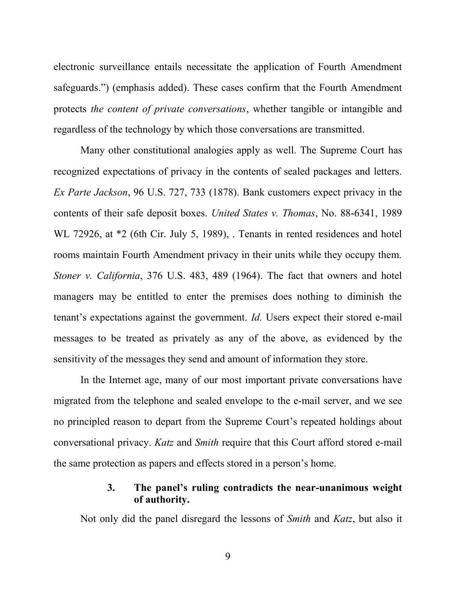electronic surveillance entails necessitate the application of Fourth Amendment safeguards.") (emphasis added). These cases confirm that the Fourth Amendment protects *the content of private conversations*, whether tangible or intangible and regardless of the technology by which those conversations are transmitted.

Many other constitutional analogies apply as well. The Supreme Court has recognized expectations of privacy in the contents of sealed packages and letters. *Ex Parte Jackson*, 96 U.S. 727, 733 (1878). Bank customers expect privacy in the contents of their safe deposit boxes. *United States v. Thomas*, No. 88-6341, 1989 WL 72926, at \*2 (6th Cir. July 5, 1989), . Tenants in rented residences and hotel rooms maintain Fourth Amendment privacy in their units while they occupy them. *Stoner v. California*, 376 U.S. 483, 489 (1964). The fact that owners and hotel managers may be entitled to enter the premises does nothing to diminish the tenant's expectations against the government. *Id.* Users expect their stored e-mail messages to be treated as privately as any of the above, as evidenced by the sensitivity of the messages they send and amount of information they store.

In the Internet age, many of our most important private conversations have migrated from the telephone and sealed envelope to the e-mail server, and we see no principled reason to depart from the Supreme Court's repeated holdings about conversational privacy. *Katz* and *Smith* require that this Court afford stored e-mail the same protection as papers and effects stored in a person's home.

### **3. The panel's ruling contradicts the near-unanimous weight of authority.**

Not only did the panel disregard the lessons of *Smith* and *Katz*, but also it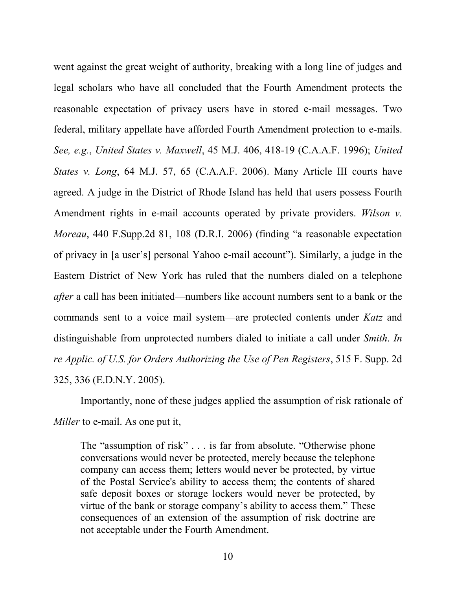went against the great weight of authority, breaking with a long line of judges and legal scholars who have all concluded that the Fourth Amendment protects the reasonable expectation of privacy users have in stored e-mail messages. Two federal, military appellate have afforded Fourth Amendment protection to e-mails. *See, e.g.*, *United States v. Maxwell*, 45 M.J. 406, 418-19 (C.A.A.F. 1996); *United States v. Long*, 64 M.J. 57, 65 (C.A.A.F. 2006). Many Article III courts have agreed. A judge in the District of Rhode Island has held that users possess Fourth Amendment rights in e-mail accounts operated by private providers. *Wilson v. Moreau*, 440 F.Supp.2d 81, 108 (D.R.I. 2006) (finding "a reasonable expectation of privacy in [a user's] personal Yahoo e-mail account"). Similarly, a judge in the Eastern District of New York has ruled that the numbers dialed on a telephone *after* a call has been initiated—numbers like account numbers sent to a bank or the commands sent to a voice mail system—are protected contents under *Katz* and distinguishable from unprotected numbers dialed to initiate a call under *Smith*. *In re Applic. of U.S. for Orders Authorizing the Use of Pen Registers*, 515 F. Supp. 2d 325, 336 (E.D.N.Y. 2005).

Importantly, none of these judges applied the assumption of risk rationale of *Miller* to e-mail. As one put it,

The "assumption of risk" . . . is far from absolute. "Otherwise phone" conversations would never be protected, merely because the telephone company can access them; letters would never be protected, by virtue of the Postal Service's ability to access them; the contents of shared safe deposit boxes or storage lockers would never be protected, by virtue of the bank or storage company's ability to access them." These consequences of an extension of the assumption of risk doctrine are not acceptable under the Fourth Amendment.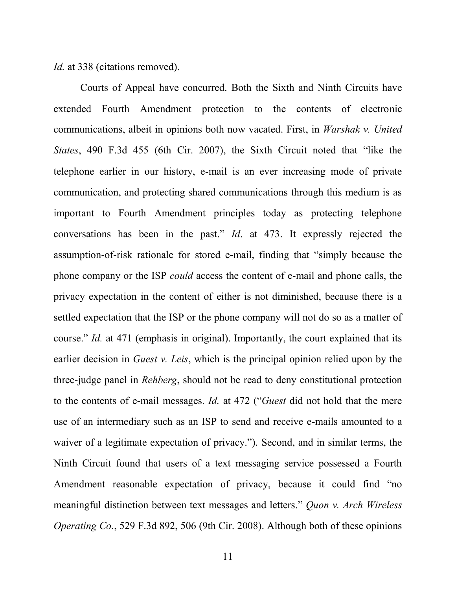*Id.* at 338 (citations removed).

Courts of Appeal have concurred. Both the Sixth and Ninth Circuits have extended Fourth Amendment protection to the contents of electronic communications, albeit in opinions both now vacated. First, in *Warshak v. United States*, 490 F.3d 455 (6th Cir. 2007), the Sixth Circuit noted that "like the telephone earlier in our history, e-mail is an ever increasing mode of private communication, and protecting shared communications through this medium is as important to Fourth Amendment principles today as protecting telephone conversations has been in the past." *Id.* at 473. It expressly rejected the assumption-of-risk rationale for stored e-mail, finding that "simply because the phone company or the ISP *could* access the content of e-mail and phone calls, the privacy expectation in the content of either is not diminished, because there is a settled expectation that the ISP or the phone company will not do so as a matter of course." *Id.* at 471 (emphasis in original). Importantly, the court explained that its earlier decision in *Guest v. Leis*, which is the principal opinion relied upon by the three-judge panel in *Rehberg*, should not be read to deny constitutional protection to the contents of e-mail messages. *Id.* at 472 ("*Guest* did not hold that the mere use of an intermediary such as an ISP to send and receive e-mails amounted to a waiver of a legitimate expectation of privacy."). Second, and in similar terms, the Ninth Circuit found that users of a text messaging service possessed a Fourth Amendment reasonable expectation of privacy, because it could find "no meaningful distinction between text messages and letters." *Quon v. Arch Wireless Operating Co.*, 529 F.3d 892, 506 (9th Cir. 2008). Although both of these opinions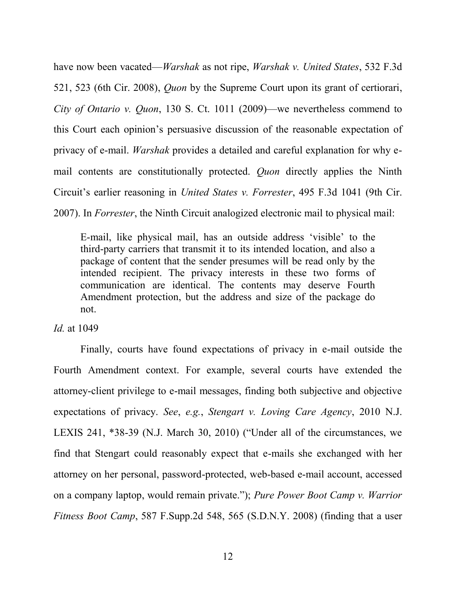have now been vacated—*Warshak* as not ripe, *Warshak v. United States*, 532 F.3d 521, 523 (6th Cir. 2008), *Quon* by the Supreme Court upon its grant of certiorari, *City of Ontario v. Quon*, 130 S. Ct. 1011 (2009)—we nevertheless commend to this Court each opinion's persuasive discussion of the reasonable expectation of privacy of e-mail. *Warshak* provides a detailed and careful explanation for why email contents are constitutionally protected. *Quon* directly applies the Ninth Circuit's earlier reasoning in *United States v. Forrester*, 495 F.3d 1041 (9th Cir. 2007). In *Forrester*, the Ninth Circuit analogized electronic mail to physical mail:

E-mail, like physical mail, has an outside address ‗visible' to the third-party carriers that transmit it to its intended location, and also a package of content that the sender presumes will be read only by the intended recipient. The privacy interests in these two forms of communication are identical. The contents may deserve Fourth Amendment protection, but the address and size of the package do not.

*Id.* at 1049

Finally, courts have found expectations of privacy in e-mail outside the Fourth Amendment context. For example, several courts have extended the attorney-client privilege to e-mail messages, finding both subjective and objective expectations of privacy. *See*, *e.g.*, *Stengart v. Loving Care Agency*, 2010 N.J. LEXIS 241,  $*38-39$  (N.J. March 30, 2010) ("Under all of the circumstances, we find that Stengart could reasonably expect that e-mails she exchanged with her attorney on her personal, password-protected, web-based e-mail account, accessed on a company laptop, would remain private.‖); *Pure Power Boot Camp v. Warrior Fitness Boot Camp*, 587 F.Supp.2d 548, 565 (S.D.N.Y. 2008) (finding that a user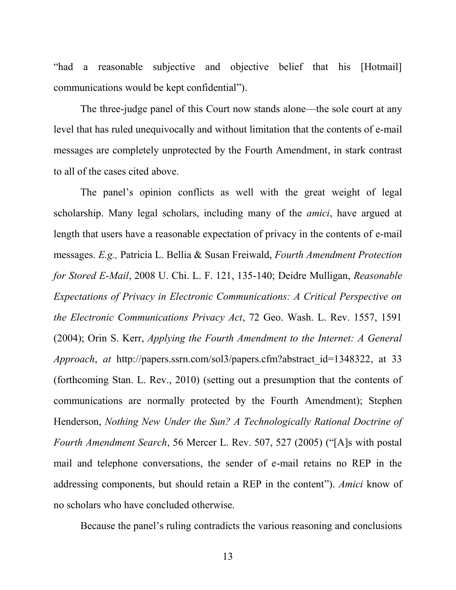"had a reasonable subjective and objective belief that his [Hotmail] communications would be kept confidential").

The three-judge panel of this Court now stands alone—the sole court at any level that has ruled unequivocally and without limitation that the contents of e-mail messages are completely unprotected by the Fourth Amendment, in stark contrast to all of the cases cited above.

The panel's opinion conflicts as well with the great weight of legal scholarship. Many legal scholars, including many of the *amici*, have argued at length that users have a reasonable expectation of privacy in the contents of e-mail messages. *E.g.,* Patricia L. Bellia & Susan Freiwald, *Fourth Amendment Protection for Stored E-Mail*, 2008 U. Chi. L. F. 121, 135-140; Deidre Mulligan, *Reasonable Expectations of Privacy in Electronic Communications: A Critical Perspective on the Electronic Communications Privacy Act*, 72 Geo. Wash. L. Rev. 1557, 1591 (2004); Orin S. Kerr, *Applying the Fourth Amendment to the Internet: A General Approach*, *at* http://papers.ssrn.com/sol3/papers.cfm?abstract\_id=1348322, at 33 (forthcoming Stan. L. Rev., 2010) (setting out a presumption that the contents of communications are normally protected by the Fourth Amendment); Stephen Henderson, *Nothing New Under the Sun? A Technologically Rational Doctrine of Fourth Amendment Search*, 56 Mercer L. Rev. 507, 527 (2005) ("[A]s with postal mail and telephone conversations, the sender of e-mail retains no REP in the addressing components, but should retain a REP in the content"). *Amici* know of no scholars who have concluded otherwise.

Because the panel's ruling contradicts the various reasoning and conclusions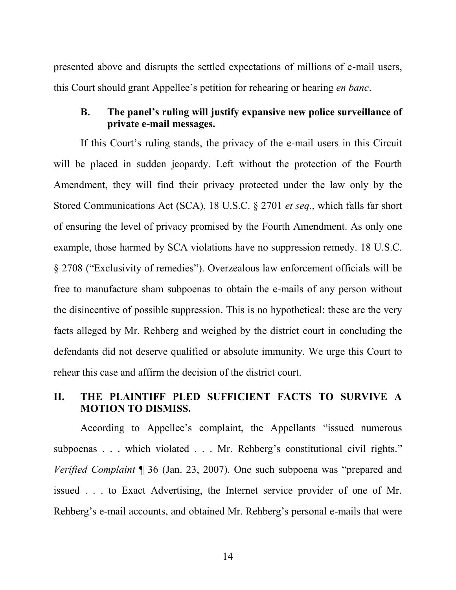presented above and disrupts the settled expectations of millions of e-mail users, this Court should grant Appellee's petition for rehearing or hearing *en banc*.

# **B. The panel's ruling will justify expansive new police surveillance of private e-mail messages.**

If this Court's ruling stands, the privacy of the e-mail users in this Circuit will be placed in sudden jeopardy. Left without the protection of the Fourth Amendment, they will find their privacy protected under the law only by the Stored Communications Act (SCA), 18 U.S.C. § 2701 *et seq.*, which falls far short of ensuring the level of privacy promised by the Fourth Amendment. As only one example, those harmed by SCA violations have no suppression remedy. 18 U.S.C. § 2708 ("Exclusivity of remedies"). Overzealous law enforcement officials will be free to manufacture sham subpoenas to obtain the e-mails of any person without the disincentive of possible suppression. This is no hypothetical: these are the very facts alleged by Mr. Rehberg and weighed by the district court in concluding the defendants did not deserve qualified or absolute immunity. We urge this Court to rehear this case and affirm the decision of the district court.

# **II. THE PLAINTIFF PLED SUFFICIENT FACTS TO SURVIVE A MOTION TO DISMISS.**

According to Appellee's complaint, the Appellants "issued numerous subpoenas . . . which violated . . . Mr. Rehberg's constitutional civil rights." *Verified Complaint* ¶ 36 (Jan. 23, 2007). One such subpoena was "prepared and issued . . . to Exact Advertising, the Internet service provider of one of Mr. Rehberg's e-mail accounts, and obtained Mr. Rehberg's personal e-mails that were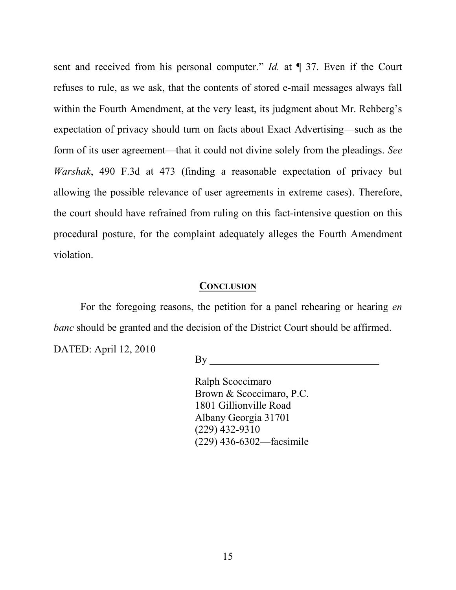sent and received from his personal computer." *Id.* at  $\P$  37. Even if the Court refuses to rule, as we ask, that the contents of stored e-mail messages always fall within the Fourth Amendment, at the very least, its judgment about Mr. Rehberg's expectation of privacy should turn on facts about Exact Advertising—such as the form of its user agreement—that it could not divine solely from the pleadings. *See Warshak*, 490 F.3d at 473 (finding a reasonable expectation of privacy but allowing the possible relevance of user agreements in extreme cases). Therefore, the court should have refrained from ruling on this fact-intensive question on this procedural posture, for the complaint adequately alleges the Fourth Amendment violation.

#### **CONCLUSION**

For the foregoing reasons, the petition for a panel rehearing or hearing *en banc* should be granted and the decision of the District Court should be affirmed.

DATED: April 12, 2010

By

Ralph Scoccimaro Brown & Scoccimaro, P.C. 1801 Gillionville Road Albany Georgia 31701 (229) 432-9310 (229) 436-6302—facsimile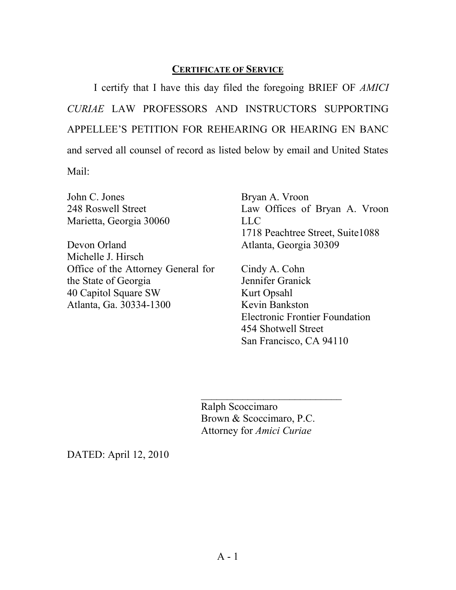# **CERTIFICATE OF SERVICE**

I certify that I have this day filed the foregoing BRIEF OF *AMICI CURIAE* LAW PROFESSORS AND INSTRUCTORS SUPPORTING APPELLEE'S PETITION FOR REHEARING OR HEARING EN BANC and served all counsel of record as listed below by email and United States Mail:

John C. Jones 248 Roswell Street Marietta, Georgia 30060

Devon Orland Michelle J. Hirsch Office of the Attorney General for the State of Georgia 40 Capitol Square SW Atlanta, Ga. 30334-1300

Bryan A. Vroon Law Offices of Bryan A. Vroon LLC 1718 Peachtree Street, Suite1088 Atlanta, Georgia 30309

Cindy A. Cohn Jennifer Granick Kurt Opsahl Kevin Bankston Electronic Frontier Foundation 454 Shotwell Street San Francisco, CA 94110

Ralph Scoccimaro Brown & Scoccimaro, P.C. Attorney for *Amici Curiae*

 $\mathcal{L}_\text{max}$ 

DATED: April 12, 2010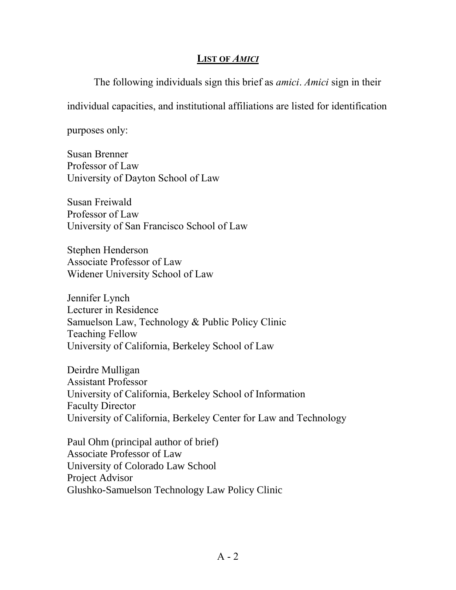# **LIST OF** *AMICI*

The following individuals sign this brief as *amici*. *Amici* sign in their

individual capacities, and institutional affiliations are listed for identification

purposes only:

Susan Brenner Professor of Law University of Dayton School of Law

Susan Freiwald Professor of Law University of San Francisco School of Law

Stephen Henderson Associate Professor of Law Widener University School of Law

Jennifer Lynch Lecturer in Residence Samuelson Law, Technology & Public Policy Clinic Teaching Fellow University of California, Berkeley School of Law

Deirdre Mulligan Assistant Professor University of California, Berkeley School of Information Faculty Director University of California, Berkeley Center for Law and Technology

Paul Ohm (principal author of brief) Associate Professor of Law University of Colorado Law School Project Advisor Glushko-Samuelson Technology Law Policy Clinic